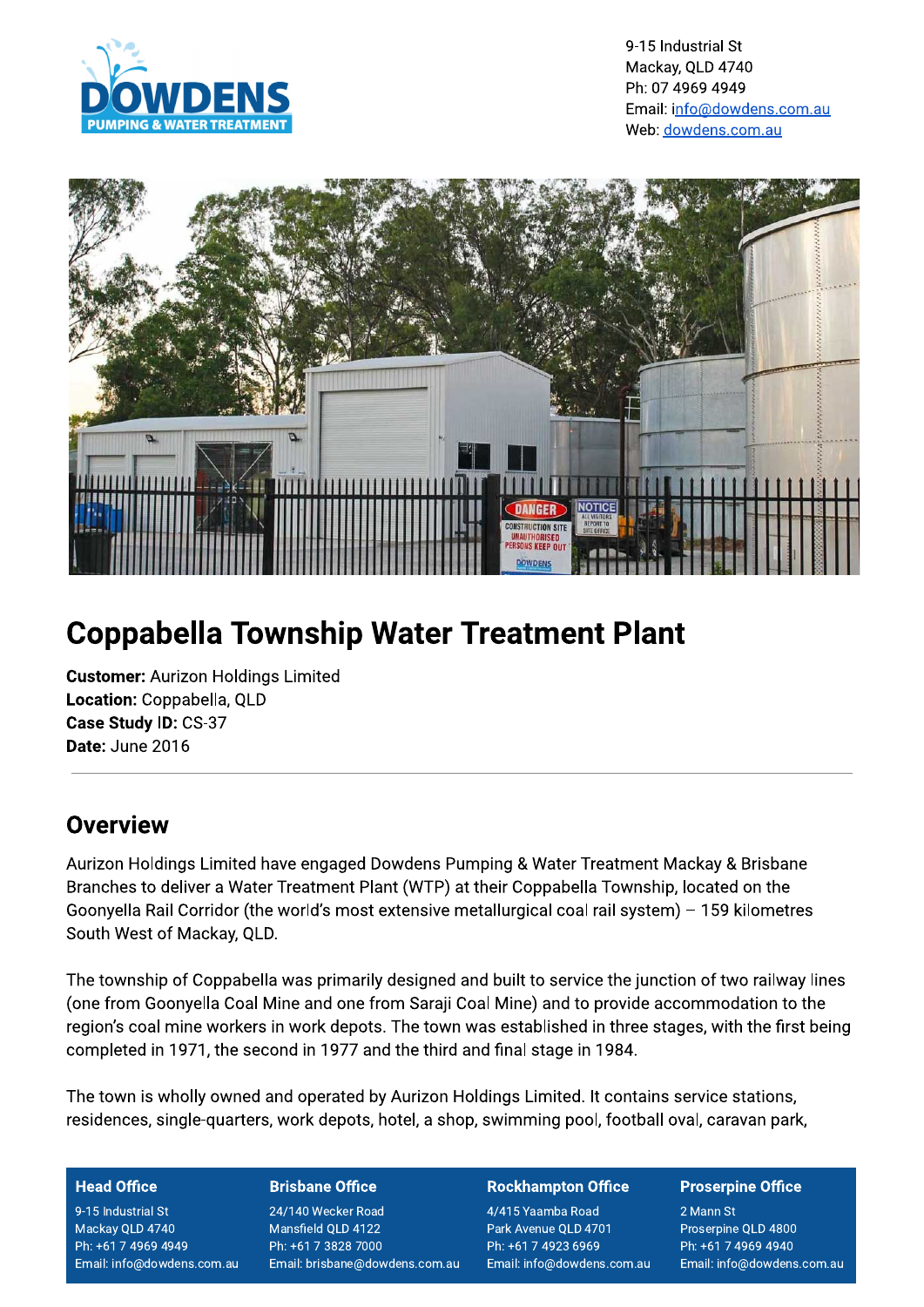



# **Coppabella Township Water Treatment Plant**

**Customer: Aurizon Holdings Limited** Location: Coppabella, QLD Case Study ID: CS-37 Date: June 2016

## Overview

Aurizon Holdings Limited have engaged Dowdens Pumping & Water Treatment Mackay & Brisbane Branches to deliver a Water Treatment Plant (WTP) at their Coppabella Township, located on the Goonyella Rail Corridor (the world's most extensive metallurgical coal rail system) - 159 kilometres South West of Mackay, QLD.

The township of Coppabella was primarily designed and built to service the junction of two railway lines (one from Goonyella Coal Mine and one from Saraji Coal Mine) and to provide accommodation to the region's coal mine workers in work depots. The town was established in three stages, with the first being completed in 1971, the second in 1977 and the third and final stage in 1984.

The town is wholly owned and operated by Aurizon Holdings Limited. It contains service stations, residences, single-quarters, work depots, hotel, a shop, swimming pool, football oval, caravan park,

### **Head Office**

9-15 Industrial St Mackay QLD 4740 Ph: +61 7 4969 4949 Email: info@dowdens.com.au

### **Brisbane Office**

24/140 Wecker Road Mansfield QLD 4122 Ph: +61 7 3828 7000 Email: brisbane@dowdens.com.au

### **Rockhampton Office**

4/415 Yaamba Road Park Avenue QLD 4701 Ph: +61 7 4923 6969 Email: info@dowdens.com.au

### **Proserpine Office**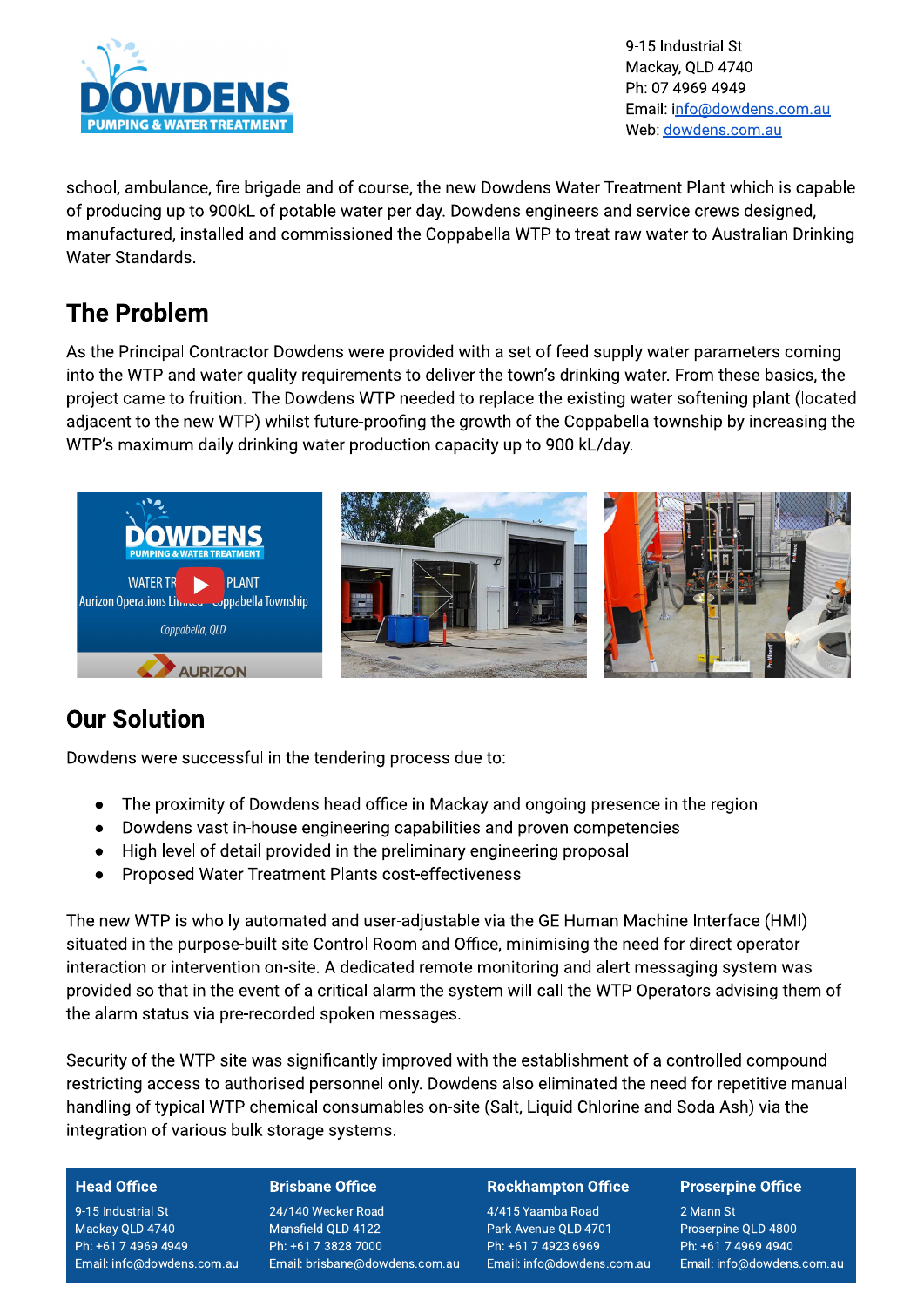

9-15 Industrial St Mackay, QLD 4740 Ph: 07 4969 4949 Email: info@dowdens.com.au Web: dowdens.com.au

school, ambulance, fire brigade and of course, the new Dowdens Water Treatment Plant which is capable of producing up to 900kL of potable water per day. Dowdens engineers and service crews designed, manufactured, installed and commissioned the Coppabella WTP to treat raw water to Australian Drinking Water Standards.

# **The Problem**

As the Principal Contractor Dowdens were provided with a set of feed supply water parameters coming into the WTP and water quality requirements to deliver the town's drinking water. From these basics, the project came to fruition. The Dowdens WTP needed to replace the existing water softening plant (located adiacent to the new WTP) whilst future-proofing the growth of the Coppabella township by increasing the WTP's maximum daily drinking water production capacity up to 900 kL/day.



# **Our Solution**

Dowdens were successful in the tendering process due to:

- The proximity of Dowdens head office in Mackay and ongoing presence in the region  $\bullet$
- Dowdens vast in-house engineering capabilities and proven competencies
- High level of detail provided in the preliminary engineering proposal  $\bullet$
- Proposed Water Treatment Plants cost-effectiveness  $\bullet$

The new WTP is wholly automated and user-adjustable via the GE Human Machine Interface (HMI) situated in the purpose-built site Control Room and Office, minimising the need for direct operator interaction or intervention on-site. A dedicated remote monitoring and alert messaging system was provided so that in the event of a critical alarm the system will call the WTP Operators advising them of the alarm status via pre-recorded spoken messages.

Security of the WTP site was significantly improved with the establishment of a controlled compound restricting access to authorised personnel only. Dowdens also eliminated the need for repetitive manual handling of typical WTP chemical consumables on-site (Salt, Liquid Chlorine and Soda Ash) via the integration of various bulk storage systems.

### **Head Office**

9-15 Industrial St Mackay QLD 4740 Ph: +61 7 4969 4949 Email: info@dowdens.com.au

### **Brisbane Office**

24/140 Wecker Road Mansfield QLD 4122 Ph: +61 7 3828 7000 Email: brisbane@dowdens.com.au

### **Rockhampton Office**

4/415 Yaamba Road Park Avenue QLD 4701 Ph: +61 7 4923 6969 Email: info@dowdens.com.au

### **Proserpine Office**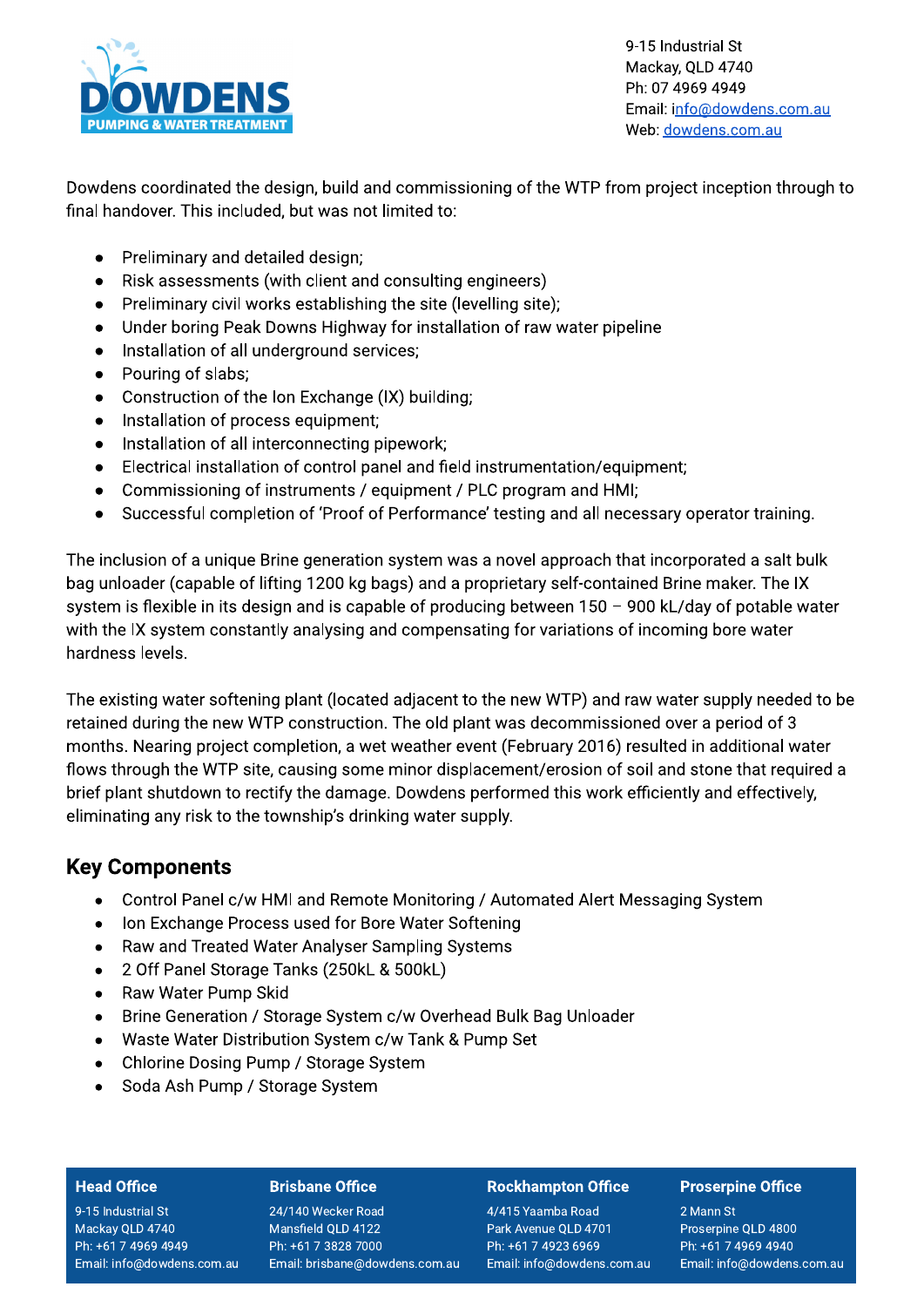

9-15 Industrial St Mackay, QLD 4740 Ph: 07 4969 4949 Email: info@dowdens.com.au Web: dowdens.com.au

Dowdens coordinated the design, build and commissioning of the WTP from project inception through to final handover. This included, but was not limited to:

- Preliminary and detailed design;  $\bullet$
- Risk assessments (with client and consulting engineers)  $\bullet$
- Preliminary civil works establishing the site (levelling site);  $\bullet$
- Under boring Peak Downs Highway for installation of raw water pipeline  $\bullet$
- Installation of all underground services:  $\bullet$
- Pouring of slabs:
- $\bullet$ Construction of the Ion Exchange (IX) building;
- Installation of process equipment;  $\bullet$
- Installation of all interconnecting pipework:
- Electrical installation of control panel and field instrumentation/equipment;  $\bullet$
- Commissioning of instruments / equipment / PLC program and HMI:  $\bullet$
- Successful completion of 'Proof of Performance' testing and all necessary operator training.  $\bullet$

The inclusion of a unique Brine generation system was a novel approach that incorporated a salt bulk bag unloader (capable of lifting 1200 kg bags) and a proprietary self-contained Brine maker. The IX system is flexible in its design and is capable of producing between 150 - 900 kL/day of potable water with the IX system constantly analysing and compensating for variations of incoming bore water hardness levels.

The existing water softening plant (located adjacent to the new WTP) and raw water supply needed to be retained during the new WTP construction. The old plant was decommissioned over a period of 3 months. Nearing project completion, a wet weather event (February 2016) resulted in additional water flows through the WTP site, causing some minor displacement/erosion of soil and stone that required a brief plant shutdown to rectify the damage. Dowdens performed this work efficiently and effectively, eliminating any risk to the township's drinking water supply.

### **Key Components**

- Control Panel c/w HMI and Remote Monitoring / Automated Alert Messaging System  $\bullet$
- Ion Exchange Process used for Bore Water Softening
- Raw and Treated Water Analyser Sampling Systems  $\bullet$
- 2 Off Panel Storage Tanks (250kL & 500kL)  $\bullet$
- Raw Water Pump Skid
- Brine Generation / Storage System c/w Overhead Bulk Bag Unloader  $\bullet$
- Waste Water Distribution System c/w Tank & Pump Set  $\bullet$
- Chlorine Dosing Pump / Storage System
- Soda Ash Pump / Storage System  $\bullet$

### **Head Office**

9-15 Industrial St Mackay QLD 4740 Ph: +61 7 4969 4949 Email: info@dowdens.com.au

### **Brisbane Office**

24/140 Wecker Road Mansfield QLD 4122 Ph: +61 7 3828 7000 Email: brisbane@dowdens.com.au

#### **Rockhampton Office**

4/415 Yaamba Road Park Avenue QLD 4701 Ph: +61 7 4923 6969 Email: info@dowdens.com.au

### **Proserpine Office**